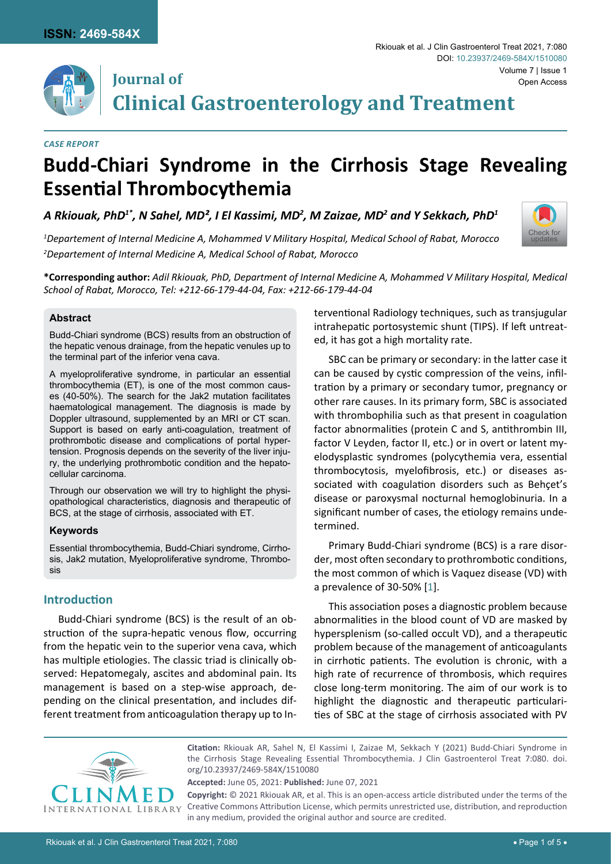

## **Journal of**

[Check for](http://crossmark.crossref.org/dialog/?doi=10.23937/2469-584X/1510080&domain=pdf) updates

**Clinical Gastroenterology and Treatment**

#### *Case Report*

# **Budd-Chiari Syndrome in the Cirrhosis Stage Revealing Essential Thrombocythemia**

A Rkiouak, PhD $^{1*}$ , N Sahel, MD<sup>2</sup>, I El Kassimi, MD<sup>2</sup>, M Zaizae, MD<sup>2</sup> and Y Sekkach, PhD $^{1}$ 

*1 Departement of Internal Medicine A, Mohammed V Military Hospital, Medical School of Rabat, Morocco 2 Departement of Internal Medicine A, Medical School of Rabat, Morocco*

**\*Corresponding author:** *Adil Rkiouak, PhD, Department of Internal Medicine A, Mohammed V Military Hospital, Medical School of Rabat, Morocco, Tel: +212-66-179-44-04, Fax: +212-66-179-44-04*

#### **Abstract**

Budd-Chiari syndrome (BCS) results from an obstruction of the hepatic venous drainage, from the hepatic venules up to the terminal part of the inferior vena cava.

A myeloproliferative syndrome, in particular an essential thrombocythemia (ET), is one of the most common causes (40-50%). The search for the Jak2 mutation facilitates haematological management. The diagnosis is made by Doppler ultrasound, supplemented by an MRI or CT scan. Support is based on early anti-coagulation, treatment of prothrombotic disease and complications of portal hypertension. Prognosis depends on the severity of the liver injury, the underlying prothrombotic condition and the hepatocellular carcinoma.

Through our observation we will try to highlight the physiopathological characteristics, diagnosis and therapeutic of BCS, at the stage of cirrhosis, associated with ET.

#### **Keywords**

Essential thrombocythemia, Budd-Chiari syndrome, Cirrhosis, Jak2 mutation, Myeloproliferative syndrome, Thrombosis

### **Introduction**

Budd-Chiari syndrome (BCS) is the result of an obstruction of the supra-hepatic venous flow, occurring from the hepatic vein to the superior vena cava, which has multiple etiologies. The classic triad is clinically observed: Hepatomegaly, ascites and abdominal pain. Its management is based on a step-wise approach, depending on the clinical presentation, and includes different treatment from anticoagulation therapy up to Interventional Radiology techniques, such as transjugular intrahepatic portosystemic shunt (TIPS). If left untreated, it has got a high mortality rate.

SBC can be primary or secondary: in the latter case it can be caused by cystic compression of the veins, infiltration by a primary or secondary tumor, pregnancy or other rare causes. In its primary form, SBC is associated with thrombophilia such as that present in coagulation factor abnormalities (protein C and S, antithrombin III, factor V Leyden, factor II, etc.) or in overt or latent myelodysplastic syndromes (polycythemia vera, essential thrombocytosis, myelofibrosis, etc.) or diseases associated with coagulation disorders such as Behçet's disease or paroxysmal nocturnal hemoglobinuria. In a significant number of cases, the etiology remains undetermined.

Primary Budd-Chiari syndrome (BCS) is a rare disorder, most often secondary to prothrombotic conditions, the most common of which is Vaquez disease (VD) with a prevalence of 30-50% [[1](#page-3-0)].

This association poses a diagnostic problem because abnormalities in the blood count of VD are masked by hypersplenism (so-called occult VD), and a therapeutic problem because of the management of anticoagulants in cirrhotic patients. The evolution is chronic, with a high rate of recurrence of thrombosis, which requires close long-term monitoring. The aim of our work is to highlight the diagnostic and therapeutic particularities of SBC at the stage of cirrhosis associated with PV



**Citation:** Rkiouak AR, Sahel N, El Kassimi I, Zaizae M, Sekkach Y (2021) Budd-Chiari Syndrome in the Cirrhosis Stage Revealing Essential Thrombocythemia. J Clin Gastroenterol Treat 7:080. [doi.](https://doi.org/10.23937/2469-584X/1510080) [org/10.23937/2469-584X/1510080](https://doi.org/10.23937/2469-584X/1510080)

**Accepted:** June 05, 2021: **Published:** June 07, 2021

**Copyright:** © 2021 Rkiouak AR, et al. This is an open-access article distributed under the terms of the Creative Commons Attribution License, which permits unrestricted use, distribution, and reproduction in any medium, provided the original author and source are credited.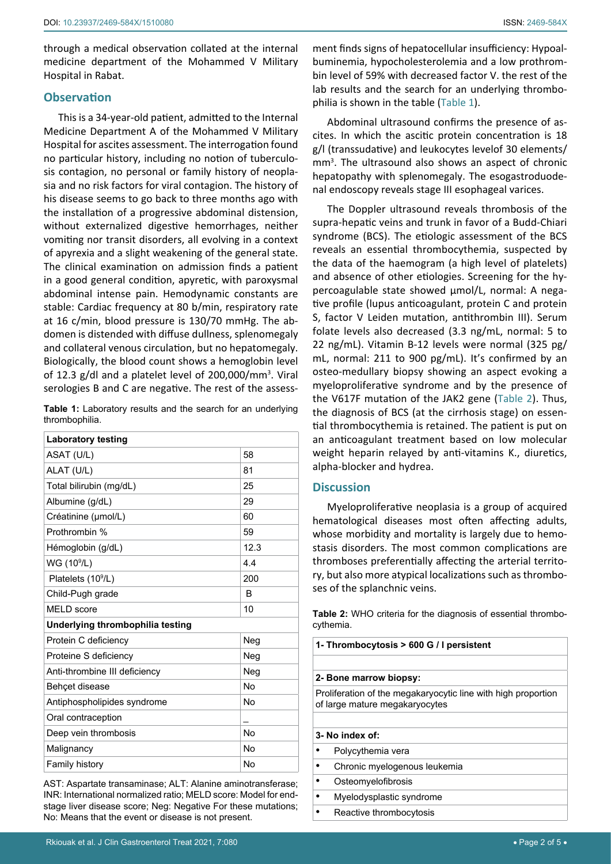through a medical observation collated at the internal medicine department of the Mohammed V Military Hospital in Rabat.

#### **Observation**

This is a 34-year-old patient, admitted to the Internal Medicine Department A of the Mohammed V Military Hospital for ascites assessment. The interrogation found no particular history, including no notion of tuberculosis contagion, no personal or family history of neoplasia and no risk factors for viral contagion. The history of his disease seems to go back to three months ago with the installation of a progressive abdominal distension, without externalized digestive hemorrhages, neither vomiting nor transit disorders, all evolving in a context of apyrexia and a slight weakening of the general state. The clinical examination on admission finds a patient in a good general condition, apyretic, with paroxysmal abdominal intense pain. Hemodynamic constants are stable: Cardiac frequency at 80 b/min, respiratory rate at 16 c/min, blood pressure is 130/70 mmHg. The abdomen is distended with diffuse dullness, splenomegaly and collateral venous circulation, but no hepatomegaly. Biologically, the blood count shows a hemoglobin level of 12.3 g/dl and a platelet level of 200,000/mm<sup>3</sup>. Viral serologies B and C are negative. The rest of the assess-

<span id="page-1-0"></span>**Table 1:** Laboratory results and the search for an underlying thrombophilia.

| <b>Laboratory testing</b>        |      |  |
|----------------------------------|------|--|
| ASAT (U/L)                       | 58   |  |
| ALAT (U/L)                       | 81   |  |
| Total bilirubin (mg/dL)          | 25   |  |
| Albumine (g/dL)                  | 29   |  |
| Créatinine (µmol/L)              | 60   |  |
| Prothrombin %                    | 59   |  |
| Hémoglobin (g/dL)                | 12.3 |  |
| WG (10 <sup>9</sup> /L)          | 4.4  |  |
| Platelets (10 <sup>9</sup> /L)   | 200  |  |
| Child-Pugh grade                 | B    |  |
| <b>MELD</b> score                | 10   |  |
| Underlying thrombophilia testing |      |  |
| Protein C deficiency             | Neg  |  |
| Proteine S deficiency            | Neg  |  |
| Anti-thrombine III deficiency    | Neg  |  |
| Behçet disease                   | No   |  |
| Antiphospholipides syndrome      | No   |  |
| Oral contraception               |      |  |
| Deep vein thrombosis             | No   |  |
| Malignancy                       | No   |  |
| Family history                   | No   |  |

AST: Aspartate transaminase; ALT: Alanine aminotransferase; INR: International normalized ratio; MELD score: Model for endstage liver disease score; Neg: Negative For these mutations; No: Means that the event or disease is not present.

ment finds signs of hepatocellular insufficiency: Hypoalbuminemia, hypocholesterolemia and a low prothrombin level of 59% with decreased factor V. the rest of the lab results and the search for an underlying thrombophilia is shown in the table ([Table 1](#page-1-0)).

Abdominal ultrasound confirms the presence of ascites. In which the ascitic protein concentration is 18 g/l (transsudative) and leukocytes levelof 30 elements/ mm<sup>3</sup> . The ultrasound also shows an aspect of chronic hepatopathy with splenomegaly. The esogastroduodenal endoscopy reveals stage III esophageal varices.

The Doppler ultrasound reveals thrombosis of the supra-hepatic veins and trunk in favor of a Budd-Chiari syndrome (BCS). The etiologic assessment of the BCS reveals an essential thrombocythemia, suspected by the data of the haemogram (a high level of platelets) and absence of other etiologies. Screening for the hypercoagulable state showed µmol/L, normal: A negative profile (lupus anticoagulant, protein C and protein S, factor V Leiden mutation, antithrombin III). Serum folate levels also decreased (3.3 ng/mL, normal: 5 to 22 ng/mL). Vitamin B-12 levels were normal (325 pg/ mL, normal: 211 to 900 pg/mL). It's confirmed by an osteo-medullary biopsy showing an aspect evoking a myeloproliferative syndrome and by the presence of the V617F mutation of the JAK2 gene [\(Table 2\)](#page-1-1). Thus, the diagnosis of BCS (at the cirrhosis stage) on essential thrombocythemia is retained. The patient is put on an anticoagulant treatment based on low molecular weight heparin relayed by anti-vitamins K., diuretics, alpha-blocker and hydrea.

#### **Discussion**

Myeloproliferative neoplasia is a group of acquired hematological diseases most often affecting adults, whose morbidity and mortality is largely due to hemostasis disorders. The most common complications are thromboses preferentially affecting the arterial territory, but also more atypical localizations such as thromboses of the splanchnic veins.

<span id="page-1-1"></span>**Table 2:** WHO criteria for the diagnosis of essential thrombocythemia.

| 1- Thrombocytosis > 600 G / I persistent                                                        |                              |
|-------------------------------------------------------------------------------------------------|------------------------------|
|                                                                                                 |                              |
|                                                                                                 | 2- Bone marrow biopsy:       |
| Proliferation of the megakaryocytic line with high proportion<br>of large mature megakaryocytes |                              |
|                                                                                                 |                              |
| 3- No index of:                                                                                 |                              |
|                                                                                                 | Polycythemia vera            |
|                                                                                                 | Chronic myelogenous leukemia |
|                                                                                                 | Osteomyelofibrosis           |
|                                                                                                 | Myelodysplastic syndrome     |
|                                                                                                 | Reactive thrombocytosis      |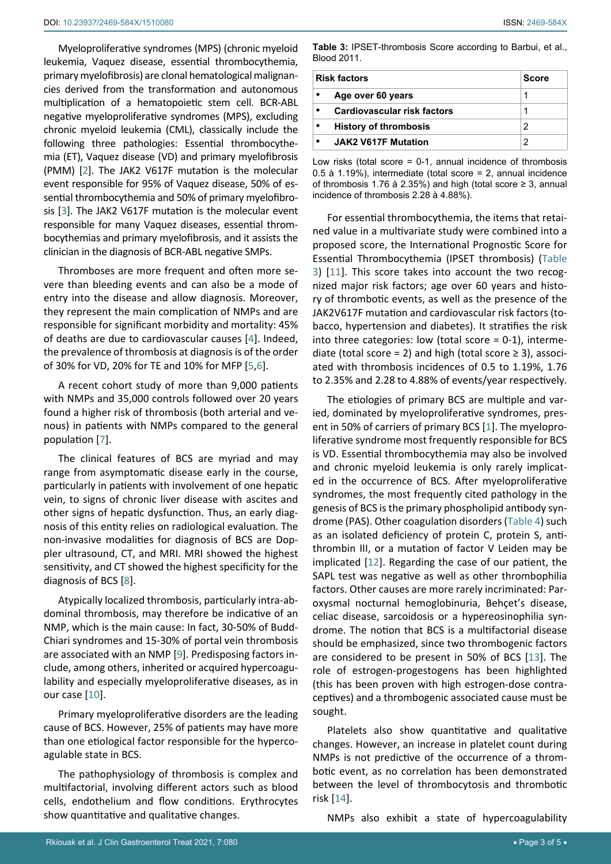Myeloproliferative syndromes (MPS) (chronic myeloid leukemia, Vaquez disease, essential thrombocythemia, primary myelofibrosis) are clonal hematological malignancies derived from the transformation and autonomous multiplication of a hematopoietic stem cell. BCR-ABL negative myeloproliferative syndromes (MPS), excluding chronic myeloid leukemia (CML), classically include the following three pathologies: Essential thrombocythemia (ET), Vaquez disease (VD) and primary myelofibrosis (PMM) [[2](#page-3-2)]. The JAK2 V617F mutation is the molecular event responsible for 95% of Vaquez disease, 50% of essential thrombocythemia and 50% of primary myelofibrosis [[3](#page-3-3)]. The JAK2 V617F mutation is the molecular event responsible for many Vaquez diseases, essential thrombocythemias and primary myelofibrosis, and it assists the clinician in the diagnosis of BCR-ABL negative SMPs.

Thromboses are more frequent and often more severe than bleeding events and can also be a mode of entry into the disease and allow diagnosis. Moreover, they represent the main complication of NMPs and are responsible for significant morbidity and mortality: 45% of deaths are due to cardiovascular causes [[4\]](#page-3-4). Indeed, the prevalence of thrombosis at diagnosis is of the order of 30% for VD, 20% for TE and 10% for MFP [[5](#page-3-5),[6\]](#page-3-6).

A recent cohort study of more than 9,000 patients with NMPs and 35,000 controls followed over 20 years found a higher risk of thrombosis (both arterial and venous) in patients with NMPs compared to the general population [\[7\]](#page-3-7).

The clinical features of BCS are myriad and may range from asymptomatic disease early in the course, particularly in patients with involvement of one hepatic vein, to signs of chronic liver disease with ascites and other signs of hepatic dysfunction. Thus, an early diagnosis of this entity relies on radiological evaluation. The non-invasive modalities for diagnosis of BCS are Doppler ultrasound, CT, and MRI. MRI showed the highest sensitivity, and CT showed the highest specificity for the diagnosis of BCS [[8](#page-3-8)].

Atypically localized thrombosis, particularly intra-abdominal thrombosis, may therefore be indicative of an NMP, which is the main cause: In fact, 30-50% of Budd-Chiari syndromes and 15-30% of portal vein thrombosis are associated with an NMP [\[9\]](#page-3-9). Predisposing factors include, among others, inherited or acquired hypercoagulability and especially myeloproliferative diseases, as in our case [[10](#page-4-4)].

Primary myeloproliferative disorders are the leading cause of BCS. However, 25% of patients may have more than one etiological factor responsible for the hypercoagulable state in BCS.

The pathophysiology of thrombosis is complex and multifactorial, involving different actors such as blood cells, endothelium and flow conditions. Erythrocytes show quantitative and qualitative changes.

<span id="page-2-0"></span>**Table 3:** IPSET-thrombosis Score according to Barbui, et al., Blood 2011.

| <b>Risk factors</b><br>Score |                              |   |
|------------------------------|------------------------------|---|
|                              | Age over 60 years            | 1 |
|                              | Cardiovascular risk factors  |   |
|                              | <b>History of thrombosis</b> | 2 |
|                              | <b>JAK2 V617F Mutation</b>   | 2 |

Low risks (total score = 0-1, annual incidence of thrombosis 0.5 à 1.19%), intermediate (total score = 2, annual incidence of thrombosis 1.76 à 2.35%) and high (total score ≥ 3, annual incidence of thrombosis 2.28 à 4.88%).

For essential thrombocythemia, the items that retained value in a multivariate study were combined into a proposed score, the International Prognostic Score for Essential Thrombocythemia (IPSET thrombosis) [\(Table](#page-2-0)  [3](#page-2-0)) [[11](#page-4-0)]. This score takes into account the two recognized major risk factors; age over 60 years and history of thrombotic events, as well as the presence of the JAK2V617F mutation and cardiovascular risk factors (tobacco, hypertension and diabetes). It stratifies the risk into three categories: low (total score = 0-1), intermediate (total score = 2) and high (total score  $\geq$  3), associated with thrombosis incidences of 0.5 to 1.19%, 1.76 to 2.35% and 2.28 to 4.88% of events/year respectively.

The etiologies of primary BCS are multiple and varied, dominated by myeloproliferative syndromes, present in 50% of carriers of primary BCS [[1](#page-3-0)]. The myeloproliferative syndrome most frequently responsible for BCS is VD. Essential thrombocythemia may also be involved and chronic myeloid leukemia is only rarely implicated in the occurrence of BCS. After myeloproliferative syndromes, the most frequently cited pathology in the genesis of BCS is the primary phospholipid antibody syndrome (PAS). Other coagulation disorders ([Table 4](#page-3-1)) such as an isolated deficiency of protein C, protein S, antithrombin III, or a mutation of factor V Leiden may be implicated [[12](#page-4-1)]. Regarding the case of our patient, the SAPL test was negative as well as other thrombophilia factors. Other causes are more rarely incriminated: Paroxysmal nocturnal hemoglobinuria, Behçet's disease, celiac disease, sarcoidosis or a hypereosinophilia syndrome. The notion that BCS is a multifactorial disease should be emphasized, since two thrombogenic factors are considered to be present in 50% of BCS [\[13](#page-4-2)]. The role of estrogen-progestogens has been highlighted (this has been proven with high estrogen-dose contraceptives) and a thrombogenic associated cause must be sought.

Platelets also show quantitative and qualitative changes. However, an increase in platelet count during NMPs is not predictive of the occurrence of a thrombotic event, as no correlation has been demonstrated between the level of thrombocytosis and thrombotic risk [\[14](#page-4-3)].

NMPs also exhibit a state of hypercoagulability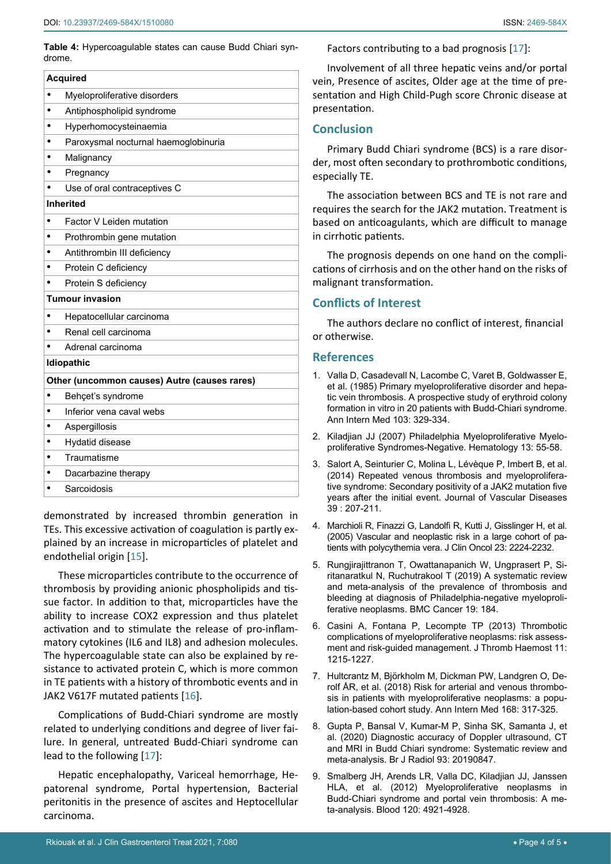<span id="page-3-1"></span>**Table 4:** Hypercoagulable states can cause Budd Chiari syndrome.

| <b>Acquired</b>                              |                                      |  |
|----------------------------------------------|--------------------------------------|--|
|                                              | Myeloproliferative disorders         |  |
|                                              | Antiphospholipid syndrome            |  |
|                                              | Hyperhomocysteinaemia                |  |
|                                              | Paroxysmal nocturnal haemoglobinuria |  |
|                                              | Malignancy                           |  |
|                                              | Pregnancy                            |  |
|                                              | Use of oral contraceptives C         |  |
| <b>Inherited</b>                             |                                      |  |
|                                              | Factor V Leiden mutation             |  |
|                                              | Prothrombin gene mutation            |  |
|                                              | Antithrombin III deficiency          |  |
|                                              | Protein C deficiency                 |  |
|                                              | Protein S deficiency                 |  |
| <b>Tumour invasion</b>                       |                                      |  |
|                                              | Hepatocellular carcinoma             |  |
|                                              | Renal cell carcinoma                 |  |
|                                              | Adrenal carcinoma                    |  |
|                                              | <b>Idiopathic</b>                    |  |
| Other (uncommon causes) Autre (causes rares) |                                      |  |
|                                              | Behçet's syndrome                    |  |
|                                              | Inferior vena caval webs             |  |
|                                              | Aspergillosis                        |  |
|                                              | Hydatid disease                      |  |
|                                              | Traumatisme                          |  |
|                                              | Dacarbazine therapy                  |  |
|                                              | Sarcoidosis                          |  |
|                                              |                                      |  |

demonstrated by increased thrombin generation in TEs. This excessive activation of coagulation is partly explained by an increase in microparticles of platelet and endothelial origin [\[15](#page-4-6)].

These microparticles contribute to the occurrence of thrombosis by providing anionic phospholipids and tissue factor. In addition to that, microparticles have the ability to increase COX2 expression and thus platelet activation and to stimulate the release of pro-inflammatory cytokines (IL6 and IL8) and adhesion molecules. The hypercoagulable state can also be explained by resistance to activated protein C, which is more common in TE patients with a history of thrombotic events and in JAK2 V617F mutated patients [[16](#page-4-7)].

Complications of Budd-Chiari syndrome are mostly related to underlying conditions and degree of liver failure. In general, untreated Budd-Chiari syndrome can lead to the following [[17\]](#page-4-5):

Hepatic encephalopathy, Variceal hemorrhage, Hepatorenal syndrome, Portal hypertension, Bacterial peritonitis in the presence of ascites and Heptocellular carcinoma.

Factors contributing to a bad prognosis [[17\]](#page-4-5):

Involvement of all three hepatic veins and/or portal vein, Presence of ascites, Older age at the time of presentation and High Child-Pugh score Chronic disease at presentation.

#### **Conclusion**

Primary Budd Chiari syndrome (BCS) is a rare disorder, most often secondary to prothrombotic conditions, especially TE.

The association between BCS and TE is not rare and requires the search for the JAK2 mutation. Treatment is based on anticoagulants, which are difficult to manage in cirrhotic patients.

The prognosis depends on one hand on the complications of cirrhosis and on the other hand on the risks of malignant transformation.

#### **Conflicts of Interest**

The authors declare no conflict of interest, financial or otherwise.

#### **References**

- <span id="page-3-0"></span>1. [Valla D, Casadevall N, Lacombe C, Varet B, Goldwasser E,](https://pubmed.ncbi.nlm.nih.gov/4026081/)  [et al. \(1985\) Primary myeloproliferative disorder and hepa](https://pubmed.ncbi.nlm.nih.gov/4026081/)[tic vein thrombosis. A prospective study of erythroid colony](https://pubmed.ncbi.nlm.nih.gov/4026081/)  [formation in vitro in 20 patients with Budd-Chiari syndrome.](https://pubmed.ncbi.nlm.nih.gov/4026081/)  [Ann Intern Med 103: 329-334.](https://pubmed.ncbi.nlm.nih.gov/4026081/)
- <span id="page-3-2"></span>2. Kiladjian JJ (2007) Philadelphia Myeloproliferative Myeloproliferative Syndromes-Negative. Hematology 13: 55-58.
- <span id="page-3-3"></span>3. [Salort A, Seinturier C, Molina L, Lévèque P, Imbert B, et al.](https://pubmed.ncbi.nlm.nih.gov/24721000/)  [\(2014\) Repeated venous thrombosis and myeloprolifera](https://pubmed.ncbi.nlm.nih.gov/24721000/)[tive syndrome: Secondary positivity of a JAK2 mutation five](https://pubmed.ncbi.nlm.nih.gov/24721000/)  [years after the initial event. Journal of Vascular Diseases](https://pubmed.ncbi.nlm.nih.gov/24721000/)  39 [: 207-211.](https://pubmed.ncbi.nlm.nih.gov/24721000/)
- <span id="page-3-4"></span>4. [Marchioli R, Finazzi G, Landolfi R, Kutti J, Gisslinger H, et al.](https://pubmed.ncbi.nlm.nih.gov/15710945/)  [\(2005\) Vascular and neoplastic risk in a large cohort of pa](https://pubmed.ncbi.nlm.nih.gov/15710945/)[tients with polycythemia vera. J Clin Oncol 23: 2224-2232.](https://pubmed.ncbi.nlm.nih.gov/15710945/)
- <span id="page-3-5"></span>5. [Rungjirajittranon T, Owattanapanich W, Ungprasert P, Si](https://pubmed.ncbi.nlm.nih.gov/30819138/)[ritanaratkul N, Ruchutrakool T \(2019\) A systematic review](https://pubmed.ncbi.nlm.nih.gov/30819138/)  [and meta-analysis of the prevalence of thrombosis and](https://pubmed.ncbi.nlm.nih.gov/30819138/)  [bleeding at diagnosis of Philadelphia-negative myeloproli](https://pubmed.ncbi.nlm.nih.gov/30819138/)[ferative neoplasms. BMC Cancer 19: 184.](https://pubmed.ncbi.nlm.nih.gov/30819138/)
- <span id="page-3-6"></span>6. [Casini A, Fontana P, Lecompte TP \(2013\) Thrombotic](https://pubmed.ncbi.nlm.nih.gov/23601811/)  [complications of myeloproliferative neoplasms: risk assess](https://pubmed.ncbi.nlm.nih.gov/23601811/)[ment and risk-guided management. J Thromb Haemost 11:](https://pubmed.ncbi.nlm.nih.gov/23601811/)  [1215-1227.](https://pubmed.ncbi.nlm.nih.gov/23601811/)
- <span id="page-3-7"></span>7. [Hultcrantz M, Björkholm M, Dickman PW, Landgren O, De](https://pubmed.ncbi.nlm.nih.gov/29335713/)[rolf ÅR, et al. \(2018\) Risk for arterial and venous thrombo](https://pubmed.ncbi.nlm.nih.gov/29335713/)[sis in patients with myeloproliferative neoplasms: a popu](https://pubmed.ncbi.nlm.nih.gov/29335713/)[lation-based cohort study. Ann Intern Med 168: 317-325.](https://pubmed.ncbi.nlm.nih.gov/29335713/)
- <span id="page-3-8"></span>8. [Gupta P, Bansal V, Kumar-M P, Sinha SK, Samanta J, et](https://pubmed.ncbi.nlm.nih.gov/32150462/)  [al. \(2020\) Diagnostic accuracy of Doppler ultrasound, CT](https://pubmed.ncbi.nlm.nih.gov/32150462/)  [and MRI in Budd Chiari syndrome: Systematic review and](https://pubmed.ncbi.nlm.nih.gov/32150462/)  [meta-analysis. Br J Radiol 93: 20190847.](https://pubmed.ncbi.nlm.nih.gov/32150462/)
- <span id="page-3-9"></span>9. [Smalberg JH, Arends LR, Valla DC, Kiladjian JJ, Janssen](https://pubmed.ncbi.nlm.nih.gov/23043069/)  [HLA, et al. \(2012\) Myeloproliferative neoplasms in](https://pubmed.ncbi.nlm.nih.gov/23043069/)  [Budd-Chiari syndrome and portal vein thrombosis: A me](https://pubmed.ncbi.nlm.nih.gov/23043069/)[ta-analysis. Blood 120: 4921-4928.](https://pubmed.ncbi.nlm.nih.gov/23043069/)